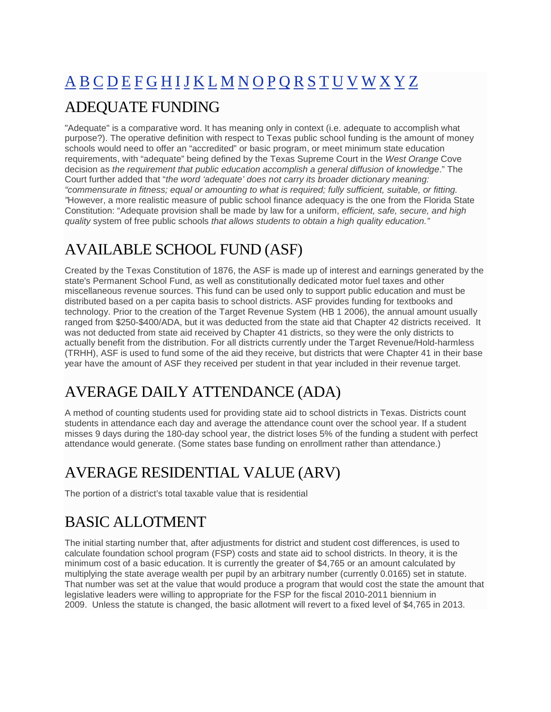# <span id="page-0-0"></span>A B [C](#page-1-0) [D](#page-2-0) [E](#page-3-0) [F](#page-4-0) [G](#page-4-0) [H](#page-5-0) [I](#page-5-0) [J](#page-6-0) [K](#page-6-0) [L](#page-6-0) [M](#page-7-0) [N](#page-7-0) [O](#page-7-0) [P](#page-7-0) [Q](#page-8-0) [R](#page-8-0) [S](#page-9-0) [T](#page-10-0) [U](#page-10-0) [V](#page-11-0) [W](#page-11-0) [X](#page-12-0) [Y](#page-12-0) [Z](#page-12-0) ADEQUATE FUNDING

"Adequate" is a comparative word. It has meaning only in context (i.e. adequate to accomplish what purpose?). The operative definition with respect to Texas public school funding is the amount of money schools would need to offer an "accredited" or basic program, or meet minimum state education requirements, with "adequate" being defined by the Texas Supreme Court in the *West Orange* Cove decision as *the requirement that public education accomplish a general diffusion of knowledge*." The Court further added that "*the word 'adequate' does not carry its broader dictionary meaning: "commensurate in fitness; equal or amounting to what is required; fully sufficient, suitable, or fitting. "*However, a more realistic measure of public school finance adequacy is the one from the Florida State Constitution: "Adequate provision shall be made by law for a uniform, *efficient, safe, secure, and high quality* system of free public schools *that allows students to obtain a high quality education."*

# AVAILABLE SCHOOL FUND (ASF)

Created by the Texas Constitution of 1876, the ASF is made up of interest and earnings generated by the state's Permanent School Fund, as well as constitutionally dedicated motor fuel taxes and other miscellaneous revenue sources. This fund can be used only to support public education and must be distributed based on a per capita basis to school districts. ASF provides funding for textbooks and technology. Prior to the creation of the Target Revenue System (HB 1 2006), the annual amount usually ranged from \$250-\$400/ADA, but it was deducted from the state aid that Chapter 42 districts received. It was not deducted from state aid received by Chapter 41 districts, so they were the only districts to actually benefit from the distribution. For all districts currently under the Target Revenue/Hold-harmless (TRHH), ASF is used to fund some of the aid they receive, but districts that were Chapter 41 in their base year have the amount of ASF they received per student in that year included in their revenue target.

# AVERAGE DAILY ATTENDANCE (ADA)

A method of counting students used for providing state aid to school districts in Texas. Districts count students in attendance each day and average the attendance count over the school year. If a student misses 9 days during the 180-day school year, the district loses 5% of the funding a student with perfect attendance would generate. (Some states base funding on enrollment rather than attendance.)

# AVERAGE RESIDENTIAL VALUE (ARV)

The portion of a district's total taxable value that is residential

# BASIC ALLOTMENT

The initial starting number that, after adjustments for district and student cost differences, is used to calculate foundation school program (FSP) costs and state aid to school districts. In theory, it is the minimum cost of a basic education. It is currently the greater of \$4,765 or an amount calculated by multiplying the state average wealth per pupil by an arbitrary number (currently 0.0165) set in statute. That number was set at the value that would produce a program that would cost the state the amount that legislative leaders were willing to appropriate for the FSP for the fiscal 2010-2011 biennium in 2009. Unless the statute is changed, the basic allotment will revert to a fixed level of \$4,765 in 2013.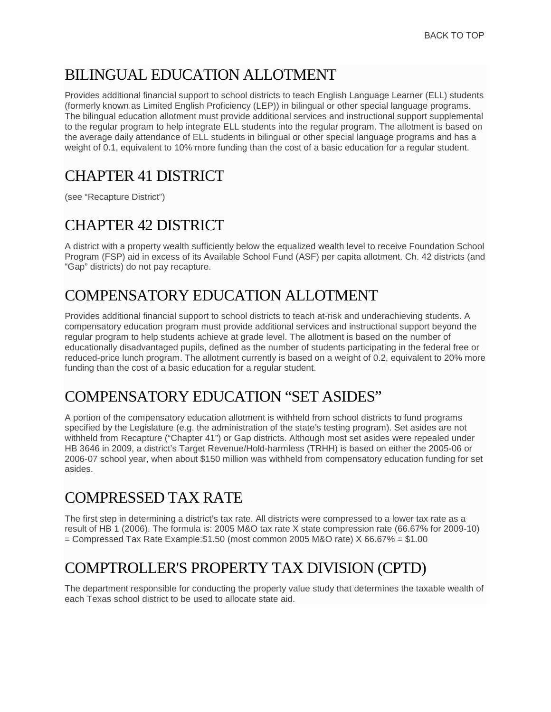# <span id="page-1-0"></span>BILINGUAL EDUCATION ALLOTMENT

Provides additional financial support to school districts to teach English Language Learner (ELL) students (formerly known as Limited English Proficiency (LEP)) in bilingual or other special language programs. The bilingual education allotment must provide additional services and instructional support supplemental to the regular program to help integrate ELL students into the regular program. The allotment is based on the average daily attendance of ELL students in bilingual or other special language programs and has a weight of 0.1, equivalent to 10% more funding than the cost of a basic education for a regular student.

# CHAPTER 41 DISTRICT

(see "Recapture District")

# CHAPTER 42 DISTRICT

A district with a property wealth sufficiently below the equalized wealth level to receive Foundation School Program (FSP) aid in excess of its Available School Fund (ASF) per capita allotment. Ch. 42 districts (and "Gap" districts) do not pay recapture.

# COMPENSATORY EDUCATION ALLOTMENT

Provides additional financial support to school districts to teach at-risk and underachieving students. A compensatory education program must provide additional services and instructional support beyond the regular program to help students achieve at grade level. The allotment is based on the number of educationally disadvantaged pupils, defined as the number of students participating in the federal free or reduced-price lunch program. The allotment currently is based on a weight of 0.2, equivalent to 20% more funding than the cost of a basic education for a regular student.

# COMPENSATORY EDUCATION "SET ASIDES"

A portion of the compensatory education allotment is withheld from school districts to fund programs specified by the Legislature (e.g. the administration of the state's testing program). Set asides are not withheld from Recapture ("Chapter 41") or Gap districts. Although most set asides were repealed under HB 3646 in 2009, a district's Target Revenue/Hold-harmless (TRHH) is based on either the 2005-06 or 2006-07 school year, when about \$150 million was withheld from compensatory education funding for set asides.

#### COMPRESSED TAX RATE

The first step in determining a district's tax rate. All districts were compressed to a lower tax rate as a result of HB 1 (2006). The formula is: 2005 M&O tax rate X state compression rate (66.67% for 2009-10)  $=$  Compressed Tax Rate Example:\$1.50 (most common 2005 M&O rate) X 66.67%  $=$  \$1.00

### COMPTROLLER'S PROPERTY TAX DIVISION (CPTD)

The department responsible for conducting the property value study that determines the taxable wealth of each Texas school district to be used to allocate state aid.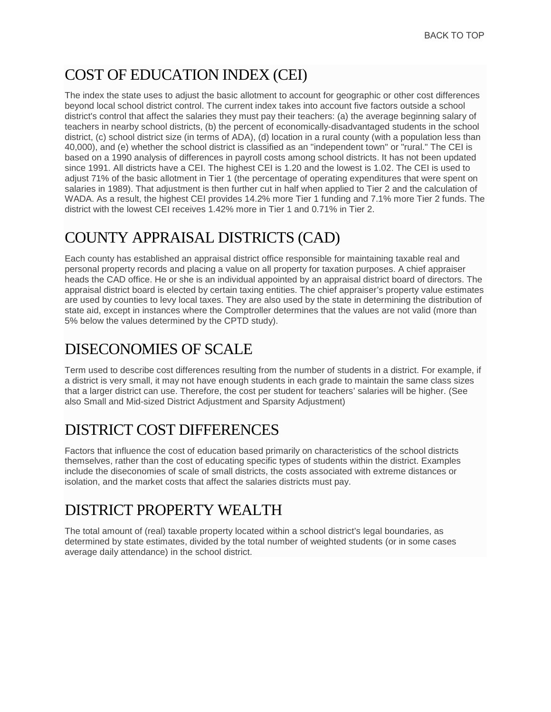#### <span id="page-2-0"></span>COST OF EDUCATION INDEX (CEI)

The index the state uses to adjust the basic allotment to account for geographic or other cost differences beyond local school district control. The current index takes into account five factors outside a school district's control that affect the salaries they must pay their teachers: (a) the average beginning salary of teachers in nearby school districts, (b) the percent of economically-disadvantaged students in the school district, (c) school district size (in terms of ADA), (d) location in a rural county (with a population less than 40,000), and (e) whether the school district is classified as an "independent town" or "rural." The CEI is based on a 1990 analysis of differences in payroll costs among school districts. It has not been updated since 1991. All districts have a CEI. The highest CEI is 1.20 and the lowest is 1.02. The CEI is used to adjust 71% of the basic allotment in Tier 1 (the percentage of operating expenditures that were spent on salaries in 1989). That adjustment is then further cut in half when applied to Tier 2 and the calculation of WADA. As a result, the highest CEI provides 14.2% more Tier 1 funding and 7.1% more Tier 2 funds. The district with the lowest CEI receives 1.42% more in Tier 1 and 0.71% in Tier 2.

#### COUNTY APPRAISAL DISTRICTS (CAD)

Each county has established an appraisal district office responsible for maintaining taxable real and personal property records and placing a value on all property for taxation purposes. A chief appraiser heads the CAD office. He or she is an individual appointed by an appraisal district board of directors. The appraisal district board is elected by certain taxing entities. The chief appraiser's property value estimates are used by counties to levy local taxes. They are also used by the state in determining the distribution of state aid, except in instances where the Comptroller determines that the values are not valid (more than 5% below the values determined by the CPTD study).

#### DISECONOMIES OF SCALE

Term used to describe cost differences resulting from the number of students in a district. For example, if a district is very small, it may not have enough students in each grade to maintain the same class sizes that a larger district can use. Therefore, the cost per student for teachers' salaries will be higher. (See also Small and Mid-sized District Adjustment and Sparsity Adjustment)

### DISTRICT COST DIFFERENCES

Factors that influence the cost of education based primarily on characteristics of the school districts themselves, rather than the cost of educating specific types of students within the district. Examples include the diseconomies of scale of small districts, the costs associated with extreme distances or isolation, and the market costs that affect the salaries districts must pay.

### DISTRICT PROPERTY WEALTH

The total amount of (real) taxable property located within a school district's legal boundaries, as determined by state estimates, divided by the total number of weighted students (or in some cases average daily attendance) in the school district.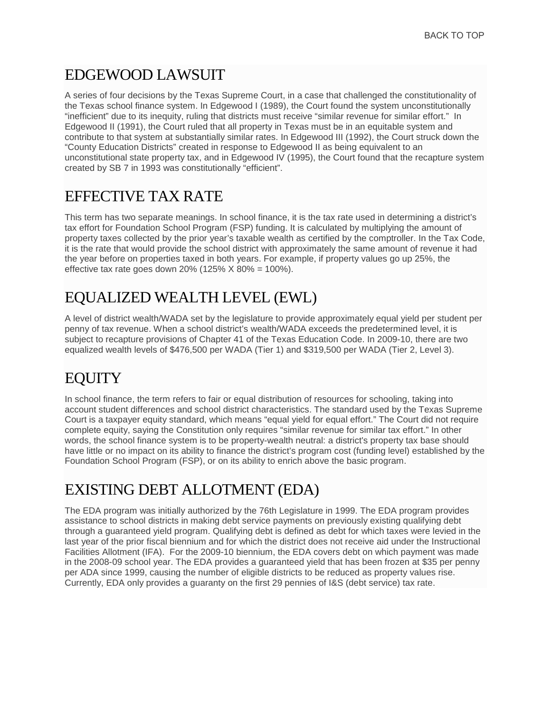#### <span id="page-3-0"></span>EDGEWOOD LAWSUIT

A series of four decisions by the Texas Supreme Court, in a case that challenged the constitutionality of the Texas school finance system. In Edgewood I (1989), the Court found the system unconstitutionally "inefficient" due to its inequity, ruling that districts must receive "similar revenue for similar effort." In Edgewood II (1991), the Court ruled that all property in Texas must be in an equitable system and contribute to that system at substantially similar rates. In Edgewood III (1992), the Court struck down the "County Education Districts" created in response to Edgewood II as being equivalent to an unconstitutional state property tax, and in Edgewood IV (1995), the Court found that the recapture system created by SB 7 in 1993 was constitutionally "efficient".

#### EFFECTIVE TAX RATE

This term has two separate meanings. In school finance, it is the tax rate used in determining a district's tax effort for Foundation School Program (FSP) funding. It is calculated by multiplying the amount of property taxes collected by the prior year's taxable wealth as certified by the comptroller. In the Tax Code, it is the rate that would provide the school district with approximately the same amount of revenue it had the year before on properties taxed in both years. For example, if property values go up 25%, the effective tax rate goes down 20% (125%  $X$  80% = 100%).

# EQUALIZED WEALTH LEVEL (EWL)

A level of district wealth/WADA set by the legislature to provide approximately equal yield per student per penny of tax revenue. When a school district's wealth/WADA exceeds the predetermined level, it is subject to recapture provisions of Chapter 41 of the Texas Education Code. In 2009-10, there are two equalized wealth levels of \$476,500 per WADA (Tier 1) and \$319,500 per WADA (Tier 2, Level 3).

# **EQUITY**

In school finance, the term refers to fair or equal distribution of resources for schooling, taking into account student differences and school district characteristics. The standard used by the Texas Supreme Court is a taxpayer equity standard, which means "equal yield for equal effort." The Court did not require complete equity, saying the Constitution only requires "similar revenue for similar tax effort." In other words, the school finance system is to be property-wealth neutral: a district's property tax base should have little or no impact on its ability to finance the district's program cost (funding level) established by the Foundation School Program (FSP), or on its ability to enrich above the basic program.

### EXISTING DEBT ALLOTMENT (EDA)

The EDA program was initially authorized by the 76th Legislature in 1999. The EDA program provides assistance to school districts in making debt service payments on previously existing qualifying debt through a guaranteed yield program. Qualifying debt is defined as debt for which taxes were levied in the last year of the prior fiscal biennium and for which the district does not receive aid under the Instructional Facilities Allotment (IFA). For the 2009-10 biennium, the EDA covers debt on which payment was made in the 2008-09 school year. The EDA provides a guaranteed yield that has been frozen at \$35 per penny per ADA since 1999, causing the number of eligible districts to be reduced as property values rise. Currently, EDA only provides a guaranty on the first 29 pennies of I&S (debt service) tax rate.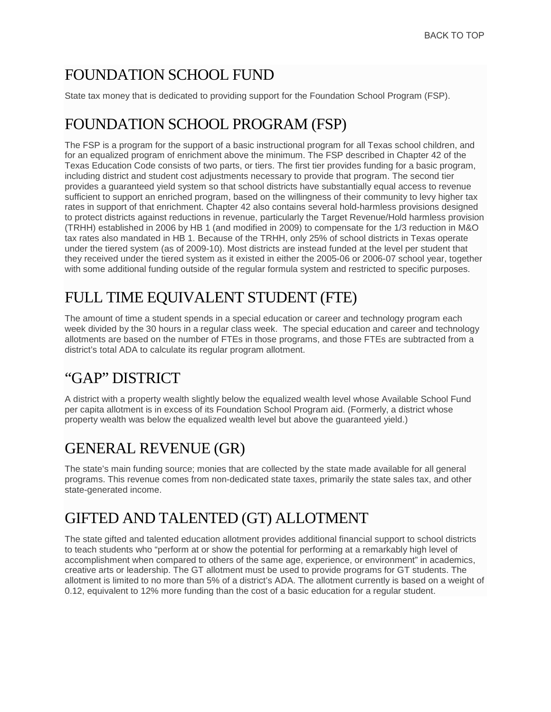# <span id="page-4-0"></span>FOUNDATION SCHOOL FUND

State tax money that is dedicated to providing support for the Foundation School Program (FSP).

#### FOUNDATION SCHOOL PROGRAM (FSP)

The FSP is a program for the support of a basic instructional program for all Texas school children, and for an equalized program of enrichment above the minimum. The FSP described in Chapter 42 of the Texas Education Code consists of two parts, or tiers. The first tier provides funding for a basic program, including district and student cost adjustments necessary to provide that program. The second tier provides a guaranteed yield system so that school districts have substantially equal access to revenue sufficient to support an enriched program, based on the willingness of their community to levy higher tax rates in support of that enrichment. Chapter 42 also contains several hold-harmless provisions designed to protect districts against reductions in revenue, particularly the Target Revenue/Hold harmless provision (TRHH) established in 2006 by HB 1 (and modified in 2009) to compensate for the 1/3 reduction in M&O tax rates also mandated in HB 1. Because of the TRHH, only 25% of school districts in Texas operate under the tiered system (as of 2009-10). Most districts are instead funded at the level per student that they received under the tiered system as it existed in either the 2005-06 or 2006-07 school year, together with some additional funding outside of the regular formula system and restricted to specific purposes.

# FULL TIME EQUIVALENT STUDENT (FTE)

The amount of time a student spends in a special education or career and technology program each week divided by the 30 hours in a regular class week. The special education and career and technology allotments are based on the number of FTEs in those programs, and those FTEs are subtracted from a district's total ADA to calculate its regular program allotment.

### "GAP" DISTRICT

A district with a property wealth slightly below the equalized wealth level whose Available School Fund per capita allotment is in excess of its Foundation School Program aid. (Formerly, a district whose property wealth was below the equalized wealth level but above the guaranteed yield.)

### GENERAL REVENUE (GR)

The state's main funding source; monies that are collected by the state made available for all general programs. This revenue comes from non-dedicated state taxes, primarily the state sales tax, and other state-generated income.

# GIFTED AND TALENTED (GT) ALLOTMENT

The state gifted and talented education allotment provides additional financial support to school districts to teach students who "perform at or show the potential for performing at a remarkably high level of accomplishment when compared to others of the same age, experience, or environment" in academics, creative arts or leadership. The GT allotment must be used to provide programs for GT students. The allotment is limited to no more than 5% of a district's ADA. The allotment currently is based on a weight of 0.12, equivalent to 12% more funding than the cost of a basic education for a regular student.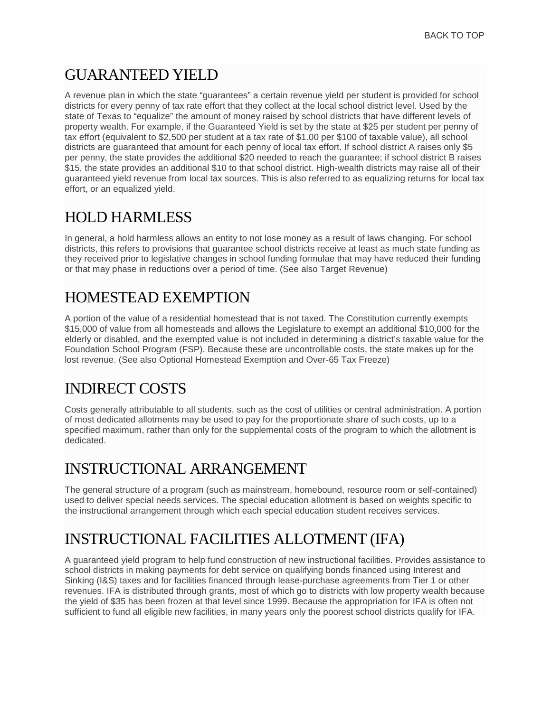#### <span id="page-5-0"></span>GUARANTEED YIELD

A revenue plan in which the state "guarantees" a certain revenue yield per student is provided for school districts for every penny of tax rate effort that they collect at the local school district level. Used by the state of Texas to "equalize" the amount of money raised by school districts that have different levels of property wealth. For example, if the Guaranteed Yield is set by the state at \$25 per student per penny of tax effort (equivalent to \$2,500 per student at a tax rate of \$1.00 per \$100 of taxable value), all school districts are guaranteed that amount for each penny of local tax effort. If school district A raises only \$5 per penny, the state provides the additional \$20 needed to reach the guarantee; if school district B raises \$15, the state provides an additional \$10 to that school district. High-wealth districts may raise all of their guaranteed yield revenue from local tax sources. This is also referred to as equalizing returns for local tax effort, or an equalized yield.

#### HOLD HARMLESS

In general, a hold harmless allows an entity to not lose money as a result of laws changing. For school districts, this refers to provisions that guarantee school districts receive at least as much state funding as they received prior to legislative changes in school funding formulae that may have reduced their funding or that may phase in reductions over a period of time. (See also Target Revenue)

# HOMESTEAD EXEMPTION

A portion of the value of a residential homestead that is not taxed. The Constitution currently exempts \$15,000 of value from all homesteads and allows the Legislature to exempt an additional \$10,000 for the elderly or disabled, and the exempted value is not included in determining a district's taxable value for the Foundation School Program (FSP). Because these are uncontrollable costs, the state makes up for the lost revenue. (See also Optional Homestead Exemption and Over-65 Tax Freeze)

# INDIRECT COSTS

Costs generally attributable to all students, such as the cost of utilities or central administration. A portion of most dedicated allotments may be used to pay for the proportionate share of such costs, up to a specified maximum, rather than only for the supplemental costs of the program to which the allotment is dedicated.

### INSTRUCTIONAL ARRANGEMENT

The general structure of a program (such as mainstream, homebound, resource room or self-contained) used to deliver special needs services. The special education allotment is based on weights specific to the instructional arrangement through which each special education student receives services.

# INSTRUCTIONAL FACILITIES ALLOTMENT (IFA)

A guaranteed yield program to help fund construction of new instructional facilities. Provides assistance to school districts in making payments for debt service on qualifying bonds financed using Interest and Sinking (I&S) taxes and for facilities financed through lease-purchase agreements from Tier 1 or other revenues. IFA is distributed through grants, most of which go to districts with low property wealth because the yield of \$35 has been frozen at that level since 1999. Because the appropriation for IFA is often not sufficient to fund all eligible new facilities, in many years only the poorest school districts qualify for IFA.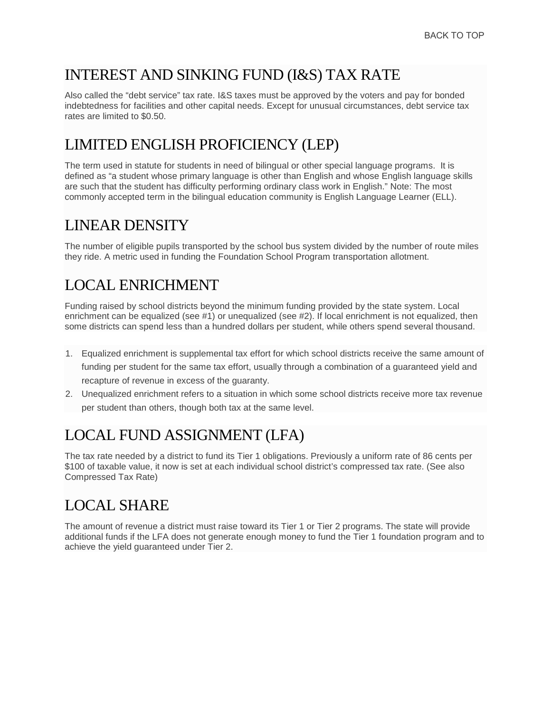#### <span id="page-6-0"></span>INTEREST AND SINKING FUND (I&S) TAX RATE

Also called the "debt service" tax rate. I&S taxes must be approved by the voters and pay for bonded indebtedness for facilities and other capital needs. Except for unusual circumstances, debt service tax rates are limited to \$0.50.

# LIMITED ENGLISH PROFICIENCY (LEP)

The term used in statute for students in need of bilingual or other special language programs. It is defined as "a student whose primary language is other than English and whose English language skills are such that the student has difficulty performing ordinary class work in English." Note: The most commonly accepted term in the bilingual education community is English Language Learner (ELL).

### LINEAR DENSITY

The number of eligible pupils transported by the school bus system divided by the number of route miles they ride. A metric used in funding the Foundation School Program transportation allotment.

# LOCAL ENRICHMENT

Funding raised by school districts beyond the minimum funding provided by the state system. Local enrichment can be equalized (see #1) or unequalized (see #2). If local enrichment is not equalized, then some districts can spend less than a hundred dollars per student, while others spend several thousand.

- 1. Equalized enrichment is supplemental tax effort for which school districts receive the same amount of funding per student for the same tax effort, usually through a combination of a guaranteed yield and recapture of revenue in excess of the guaranty.
- 2. Unequalized enrichment refers to a situation in which some school districts receive more tax revenue per student than others, though both tax at the same level.

# LOCAL FUND ASSIGNMENT (LFA)

The tax rate needed by a district to fund its Tier 1 obligations. Previously a uniform rate of 86 cents per \$100 of taxable value, it now is set at each individual school district's compressed tax rate. (See also Compressed Tax Rate)

# LOCAL SHARE

The amount of revenue a district must raise toward its Tier 1 or Tier 2 programs. The state will provide additional funds if the LFA does not generate enough money to fund the Tier 1 foundation program and to achieve the yield guaranteed under Tier 2.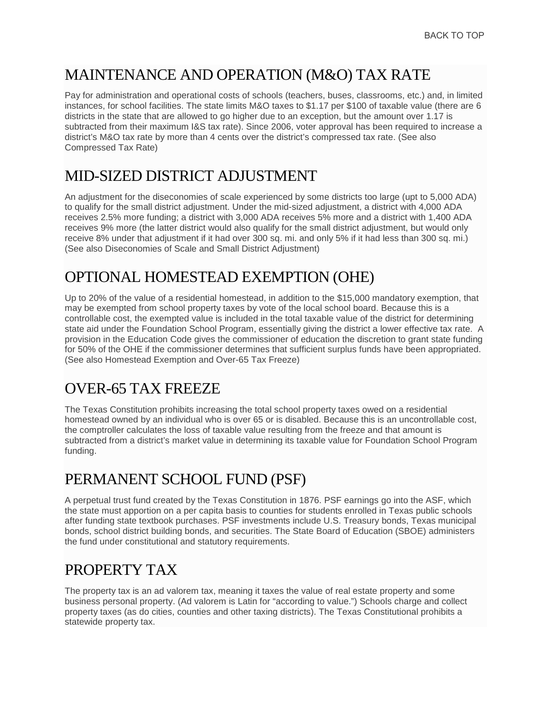#### <span id="page-7-0"></span>MAINTENANCE AND OPERATION (M&O) TAX RATE

Pay for administration and operational costs of schools (teachers, buses, classrooms, etc.) and, in limited instances, for school facilities. The state limits M&O taxes to \$1.17 per \$100 of taxable value (there are 6 districts in the state that are allowed to go higher due to an exception, but the amount over 1.17 is subtracted from their maximum I&S tax rate). Since 2006, voter approval has been required to increase a district's M&O tax rate by more than 4 cents over the district's compressed tax rate. (See also Compressed Tax Rate)

#### MID-SIZED DISTRICT ADJUSTMENT

An adjustment for the diseconomies of scale experienced by some districts too large (upt to 5,000 ADA) to qualify for the small district adjustment. Under the mid-sized adjustment, a district with 4,000 ADA receives 2.5% more funding; a district with 3,000 ADA receives 5% more and a district with 1,400 ADA receives 9% more (the latter district would also qualify for the small district adjustment, but would only receive 8% under that adjustment if it had over 300 sq. mi. and only 5% if it had less than 300 sq. mi.) (See also Diseconomies of Scale and Small District Adjustment)

#### OPTIONAL HOMESTEAD EXEMPTION (OHE)

Up to 20% of the value of a residential homestead, in addition to the \$15,000 mandatory exemption, that may be exempted from school property taxes by vote of the local school board. Because this is a controllable cost, the exempted value is included in the total taxable value of the district for determining state aid under the Foundation School Program, essentially giving the district a lower effective tax rate. A provision in the Education Code gives the commissioner of education the discretion to grant state funding for 50% of the OHE if the commissioner determines that sufficient surplus funds have been appropriated. (See also Homestead Exemption and Over-65 Tax Freeze)

### OVER-65 TAX FREEZE

The Texas Constitution prohibits increasing the total school property taxes owed on a residential homestead owned by an individual who is over 65 or is disabled. Because this is an uncontrollable cost, the comptroller calculates the loss of taxable value resulting from the freeze and that amount is subtracted from a district's market value in determining its taxable value for Foundation School Program funding.

### PERMANENT SCHOOL FUND (PSF)

A perpetual trust fund created by the Texas Constitution in 1876. PSF earnings go into the ASF, which the state must apportion on a per capita basis to counties for students enrolled in Texas public schools after funding state textbook purchases. PSF investments include U.S. Treasury bonds, Texas municipal bonds, school district building bonds, and securities. The State Board of Education (SBOE) administers the fund under constitutional and statutory requirements.

# PROPERTY TAX

The property tax is an ad valorem tax, meaning it taxes the value of real estate property and some business personal property. (Ad valorem is Latin for "according to value.") Schools charge and collect property taxes (as do cities, counties and other taxing districts). The Texas Constitutional prohibits a statewide property tax.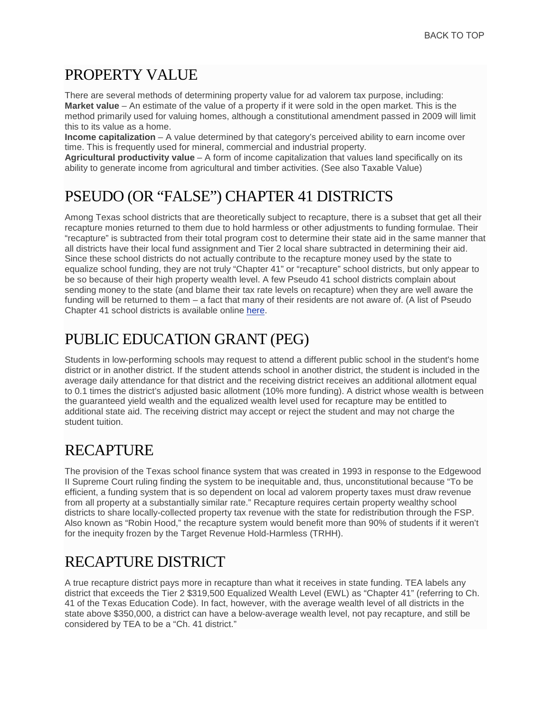#### <span id="page-8-0"></span>PROPERTY VALUE

There are several methods of determining property value for ad valorem tax purpose, including: **Market value** – An estimate of the value of a property if it were sold in the open market. This is the method primarily used for valuing homes, although a constitutional amendment passed in 2009 will limit this to its value as a home.

**Income capitalization** – A value determined by that category's perceived ability to earn income over time. This is frequently used for mineral, commercial and industrial property.

**Agricultural productivity value** – A form of income capitalization that values land specifically on its ability to generate income from agricultural and timber activities. (See also Taxable Value)

### PSEUDO (OR "FALSE") CHAPTER 41 DISTRICTS

Among Texas school districts that are theoretically subject to recapture, there is a subset that get all their recapture monies returned to them due to hold harmless or other adjustments to funding formulae. Their "recapture" is subtracted from their total program cost to determine their state aid in the same manner that all districts have their local fund assignment and Tier 2 local share subtracted in determining their aid. Since these school districts do not actually contribute to the recapture money used by the state to equalize school funding, they are not truly "Chapter 41" or "recapture" school districts, but only appear to be so because of their high property wealth level. A few Pseudo 41 school districts complain about sending money to the state (and blame their tax rate levels on recapture) when they are well aware the funding will be returned to them – a fact that many of their residents are not aware of. (A list of Pseudo Chapter 41 school districts is available online [here.](http://equitycenter.org/resources/%22http:/www.idra.org/Education_Policy.htm/Fair_Funding_for_the_Common_Good/)%22)

# PUBLIC EDUCATION GRANT (PEG)

Students in low-performing schools may request to attend a different public school in the student's home district or in another district. If the student attends school in another district, the student is included in the average daily attendance for that district and the receiving district receives an additional allotment equal to 0.1 times the district's adjusted basic allotment (10% more funding). A district whose wealth is between the guaranteed yield wealth and the equalized wealth level used for recapture may be entitled to additional state aid. The receiving district may accept or reject the student and may not charge the student tuition.

# **RECAPTURE**

The provision of the Texas school finance system that was created in 1993 in response to the Edgewood II Supreme Court ruling finding the system to be inequitable and, thus, unconstitutional because "To be efficient, a funding system that is so dependent on local ad valorem property taxes must draw revenue from all property at a substantially similar rate." Recapture requires certain property wealthy school districts to share locally-collected property tax revenue with the state for redistribution through the FSP. Also known as "Robin Hood," the recapture system would benefit more than 90% of students if it weren't for the inequity frozen by the Target Revenue Hold-Harmless (TRHH).

# RECAPTURE DISTRICT

A true recapture district pays more in recapture than what it receives in state funding. TEA labels any district that exceeds the Tier 2 \$319,500 Equalized Wealth Level (EWL) as "Chapter 41" (referring to Ch. 41 of the Texas Education Code). In fact, however, with the average wealth level of all districts in the state above \$350,000, a district can have a below-average wealth level, not pay recapture, and still be considered by TEA to be a "Ch. 41 district."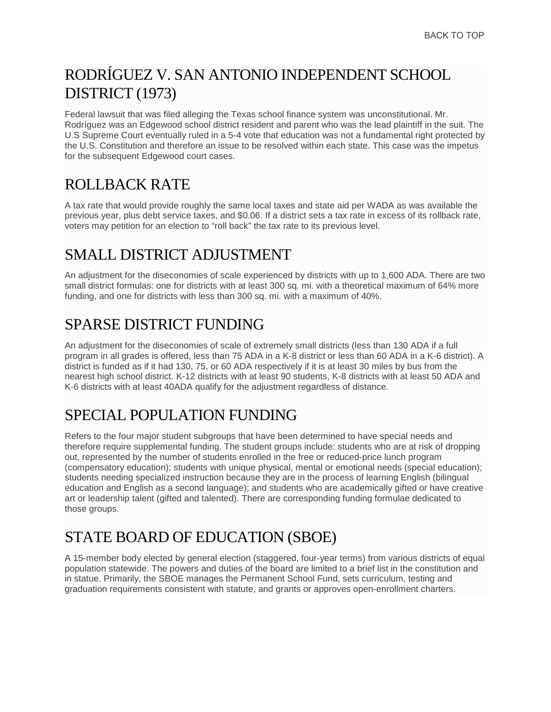# <span id="page-9-0"></span>RODRÍGUEZ V. SAN ANTONIO INDEPENDENT SCHOOL DISTRICT (1973)

Federal lawsuit that was filed alleging the Texas school finance system was unconstitutional. Mr. Rodríguez was an Edgewood school district resident and parent who was the lead plaintiff in the suit. The U.S Supreme Court eventually ruled in a 5-4 vote that education was not a fundamental right protected by the U.S. Constitution and therefore an issue to be resolved within each state. This case was the impetus for the subsequent Edgewood court cases.

# ROLLBACK RATE

A tax rate that would provide roughly the same local taxes and state aid per WADA as was available the previous year, plus debt service taxes, and \$0.06. If a district sets a tax rate in excess of its rollback rate, voters may petition for an election to "roll back" the tax rate to its previous level.

# SMALL DISTRICT ADJUSTMENT

An adjustment for the diseconomies of scale experienced by districts with up to 1,600 ADA. There are two small district formulas: one for districts with at least 300 sq. mi. with a theoretical maximum of 64% more funding, and one for districts with less than 300 sq. mi. with a maximum of 40%.

# SPARSE DISTRICT FUNDING

An adjustment for the diseconomies of scale of extremely small districts (less than 130 ADA if a full program in all grades is offered, less than 75 ADA in a K-8 district or less than 60 ADA in a K-6 district). A district is funded as if it had 130, 75, or 60 ADA respectively if it is at least 30 miles by bus from the nearest high school district. K-12 districts with at least 90 students, K-8 districts with at least 50 ADA and K-6 districts with at least 40ADA qualify for the adjustment regardless of distance.

# SPECIAL POPULATION FUNDING

Refers to the four major student subgroups that have been determined to have special needs and therefore require supplemental funding. The student groups include: students who are at risk of dropping out, represented by the number of students enrolled in the free or reduced-price lunch program (compensatory education); students with unique physical, mental or emotional needs (special education); students needing specialized instruction because they are in the process of learning English (bilingual education and English as a second language); and students who are academically gifted or have creative art or leadership talent (gifted and talented). There are corresponding funding formulae dedicated to those groups.

# STATE BOARD OF EDUCATION (SBOE)

A 15-member body elected by general election (staggered, four-year terms) from various districts of equal population statewide. The powers and duties of the board are limited to a brief list in the constitution and in statue. Primarily, the SBOE manages the Permanent School Fund, sets curriculum, testing and graduation requirements consistent with statute, and grants or approves open-enrollment charters.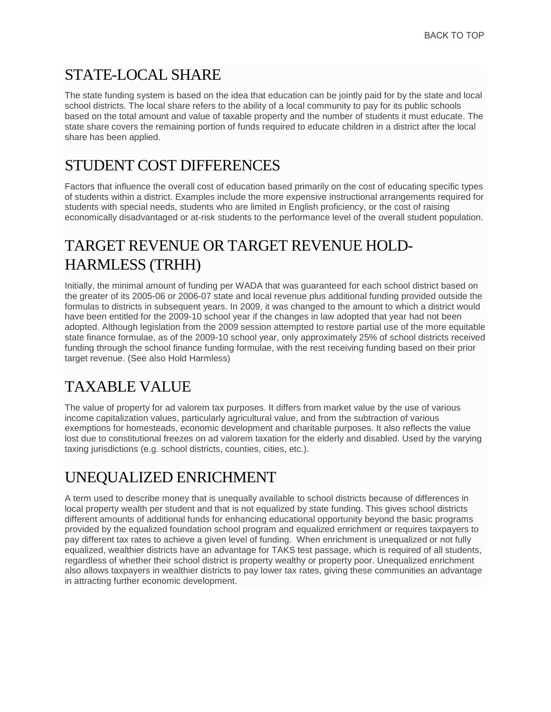# <span id="page-10-0"></span>STATE-LOCAL SHARE

The state funding system is based on the idea that education can be jointly paid for by the state and local school districts. The local share refers to the ability of a local community to pay for its public schools based on the total amount and value of taxable property and the number of students it must educate. The state share covers the remaining portion of funds required to educate children in a district after the local share has been applied.

#### STUDENT COST DIFFERENCES

Factors that influence the overall cost of education based primarily on the cost of educating specific types of students within a district. Examples include the more expensive instructional arrangements required for students with special needs, students who are limited in English proficiency, or the cost of raising economically disadvantaged or at-risk students to the performance level of the overall student population.

# TARGET REVENUE OR TARGET REVENUE HOLD-HARMLESS (TRHH)

Initially, the minimal amount of funding per WADA that was guaranteed for each school district based on the greater of its 2005-06 or 2006-07 state and local revenue plus additional funding provided outside the formulas to districts in subsequent years. In 2009, it was changed to the amount to which a district would have been entitled for the 2009-10 school year if the changes in law adopted that year had not been adopted. Although legislation from the 2009 session attempted to restore partial use of the more equitable state finance formulae, as of the 2009-10 school year, only approximately 25% of school districts received funding through the school finance funding formulae, with the rest receiving funding based on their prior target revenue. (See also Hold Harmless)

# TAXABLE VALUE

The value of property for ad valorem tax purposes. It differs from market value by the use of various income capitalization values, particularly agricultural value, and from the subtraction of various exemptions for homesteads, economic development and charitable purposes. It also reflects the value lost due to constitutional freezes on ad valorem taxation for the elderly and disabled. Used by the varying taxing jurisdictions (e.g. school districts, counties, cities, etc.).

# UNEQUALIZED ENRICHMENT

A term used to describe money that is unequally available to school districts because of differences in local property wealth per student and that is not equalized by state funding. This gives school districts different amounts of additional funds for enhancing educational opportunity beyond the basic programs provided by the equalized foundation school program and equalized enrichment or requires taxpayers to pay different tax rates to achieve a given level of funding. When enrichment is unequalized or not fully equalized, wealthier districts have an advantage for TAKS test passage, which is required of all students, regardless of whether their school district is property wealthy or property poor. Unequalized enrichment also allows taxpayers in wealthier districts to pay lower tax rates, giving these communities an advantage in attracting further economic development.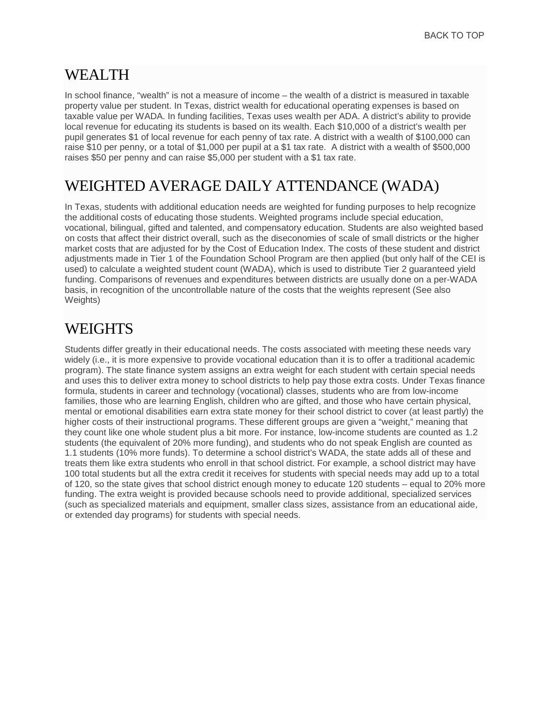#### <span id="page-11-0"></span>WEALTH

In school finance, "wealth" is not a measure of income – the wealth of a district is measured in taxable property value per student. In Texas, district wealth for educational operating expenses is based on taxable value per WADA. In funding facilities, Texas uses wealth per ADA. A district's ability to provide local revenue for educating its students is based on its wealth. Each \$10,000 of a district's wealth per pupil generates \$1 of local revenue for each penny of tax rate. A district with a wealth of \$100,000 can raise \$10 per penny, or a total of \$1,000 per pupil at a \$1 tax rate. A district with a wealth of \$500,000 raises \$50 per penny and can raise \$5,000 per student with a \$1 tax rate.

#### WEIGHTED AVERAGE DAILY ATTENDANCE (WADA)

In Texas, students with additional education needs are weighted for funding purposes to help recognize the additional costs of educating those students. Weighted programs include special education, vocational, bilingual, gifted and talented, and compensatory education. Students are also weighted based on costs that affect their district overall, such as the diseconomies of scale of small districts or the higher market costs that are adjusted for by the Cost of Education Index. The costs of these student and district adjustments made in Tier 1 of the Foundation School Program are then applied (but only half of the CEI is used) to calculate a weighted student count (WADA), which is used to distribute Tier 2 guaranteed yield funding. Comparisons of revenues and expenditures between districts are usually done on a per-WADA basis, in recognition of the uncontrollable nature of the costs that the weights represent (See also Weights)

#### **WEIGHTS**

Students differ greatly in their educational needs. The costs associated with meeting these needs vary widely (i.e., it is more expensive to provide vocational education than it is to offer a traditional academic program). The state finance system assigns an extra weight for each student with certain special needs and uses this to deliver extra money to school districts to help pay those extra costs. Under Texas finance formula, students in career and technology (vocational) classes, students who are from low-income families, those who are learning English, children who are gifted, and those who have certain physical, mental or emotional disabilities earn extra state money for their school district to cover (at least partly) the higher costs of their instructional programs. These different groups are given a "weight," meaning that they count like one whole student plus a bit more. For instance, low-income students are counted as 1.2 students (the equivalent of 20% more funding), and students who do not speak English are counted as 1.1 students (10% more funds). To determine a school district's WADA, the state adds all of these and treats them like extra students who enroll in that school district. For example, a school district may have 100 total students but all the extra credit it receives for students with special needs may add up to a total of 120, so the state gives that school district enough money to educate 120 students – equal to 20% more funding. The extra weight is provided because schools need to provide additional, specialized services (such as specialized materials and equipment, smaller class sizes, assistance from an educational aide, or extended day programs) for students with special needs.